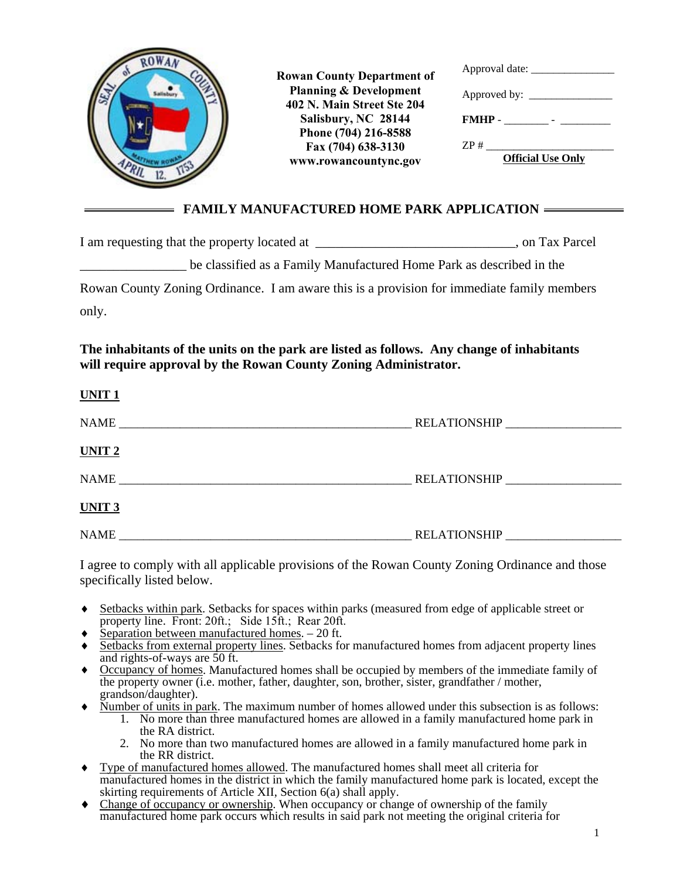

|  | <b>FAMILY MANUFACTURED HOME PARK APPLICATION</b> |
|--|--------------------------------------------------|
|--|--------------------------------------------------|

| I am requesting that the property located at _____                                         | , on Tax Parcel |
|--------------------------------------------------------------------------------------------|-----------------|
| be classified as a Family Manufactured Home Park as described in the                       |                 |
| Rowan County Zoning Ordinance. I am aware this is a provision for immediate family members |                 |
| only.                                                                                      |                 |

## **The inhabitants of the units on the park are listed as follows. Any change of inhabitants will require approval by the Rowan County Zoning Administrator.**

| UNIT <sub>1</sub> |                     |
|-------------------|---------------------|
| <b>NAME</b>       |                     |
| UNIT <sub>2</sub> |                     |
| <b>NAME</b>       | <b>RELATIONSHIP</b> |
| UNIT <sub>3</sub> |                     |
| <b>NAME</b>       | <b>RELATIONSHIP</b> |

I agree to comply with all applicable provisions of the Rowan County Zoning Ordinance and those specifically listed below.

- Setbacks within park. Setbacks for spaces within parks (measured from edge of applicable street or property line. Front: 20ft.; Side 15ft.; Rear 20ft.
- Separation between manufactured homes. 20 ft.
- Setbacks from external property lines. Setbacks for manufactured homes from adjacent property lines and rights-of-ways are 50 ft.
- Occupancy of homes. Manufactured homes shall be occupied by members of the immediate family of the property owner (i.e. mother, father, daughter, son, brother, sister, grandfather / mother, grandson/daughter).
- Number of units in park. The maximum number of homes allowed under this subsection is as follows:
	- 1. No more than three manufactured homes are allowed in a family manufactured home park in the RA district.
	- 2. No more than two manufactured homes are allowed in a family manufactured home park in the RR district.
- Type of manufactured homes allowed. The manufactured homes shall meet all criteria for manufactured homes in the district in which the family manufactured home park is located, except the skirting requirements of Article XII, Section 6(a) shall apply.
- Change of occupancy or ownership. When occupancy or change of ownership of the family manufactured home park occurs which results in said park not meeting the original criteria for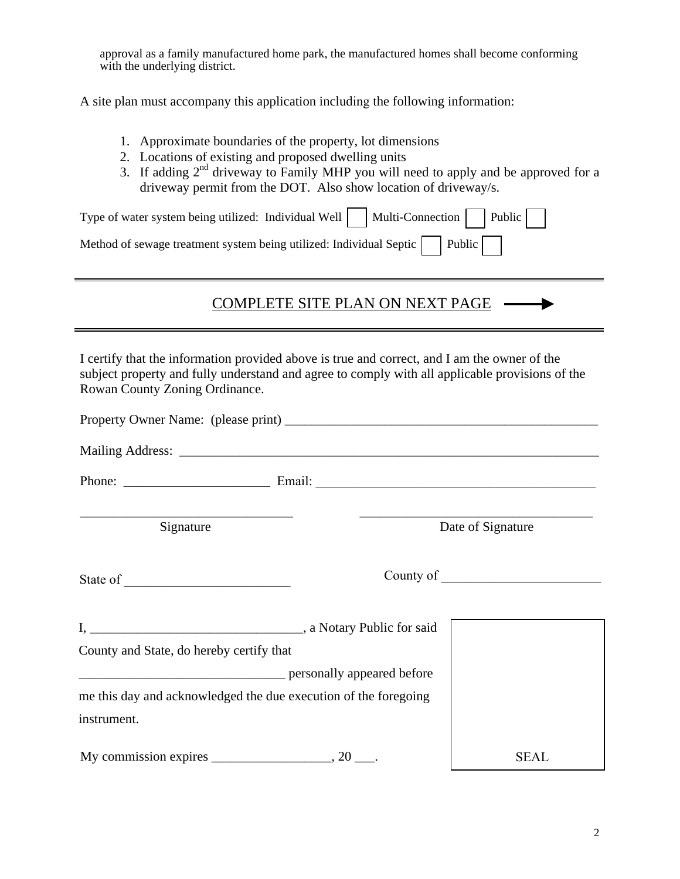approval as a family manufactured home park, the manufactured homes shall become conforming with the underlying district.

A site plan must accompany this application including the following information:

- 1. Approximate boundaries of the property, lot dimensions
- 2. Locations of existing and proposed dwelling units
- 3. If adding  $2<sup>nd</sup>$  driveway to Family MHP you will need to apply and be approved for a driveway permit from the DOT. Also show location of driveway/s.

| Type of water system being utilized: Individual Well $\Box$ Multi-Connection $\Box$ Public $\Box$ |  |
|---------------------------------------------------------------------------------------------------|--|
| Method of sewage treatment system being utilized: Individual Septic $\Box$ Public $\Box$          |  |

## COMPLETE SITE PLAN ON NEXT PAGE ▶

I certify that the information provided above is true and correct, and I am the owner of the subject property and fully understand and agree to comply with all applicable provisions of the Rowan County Zoning Ordinance.

| Signature                                                       |  | Date of Signature |  |  |  |
|-----------------------------------------------------------------|--|-------------------|--|--|--|
|                                                                 |  |                   |  |  |  |
|                                                                 |  |                   |  |  |  |
| County and State, do hereby certify that                        |  |                   |  |  |  |
| ersonally appeared before personally appeared before            |  |                   |  |  |  |
| me this day and acknowledged the due execution of the foregoing |  |                   |  |  |  |
| instrument.                                                     |  |                   |  |  |  |
| My commission expires $\_\_\_\_\_\_\_$ , 20 $\_\_\_\_\$ .       |  | <b>SEAL</b>       |  |  |  |